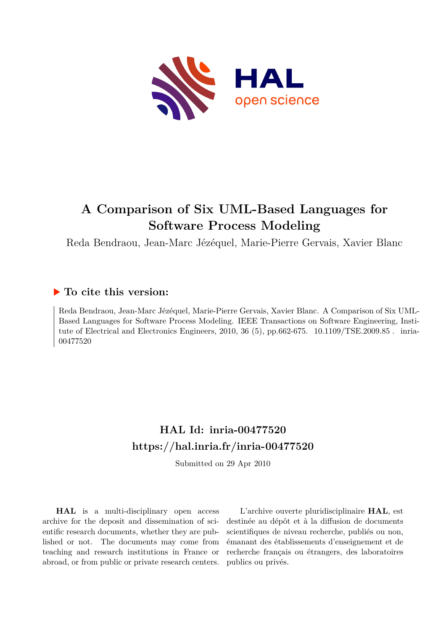

# **A Comparison of Six UML-Based Languages for Software Process Modeling**

Reda Bendraou, Jean-Marc Jézéquel, Marie-Pierre Gervais, Xavier Blanc

# **To cite this version:**

Reda Bendraou, Jean-Marc Jézéquel, Marie-Pierre Gervais, Xavier Blanc. A Comparison of Six UML-Based Languages for Software Process Modeling. IEEE Transactions on Software Engineering, Institute of Electrical and Electronics Engineers, 2010, 36 (5), pp.662-675.  $10.1109/TSE.2009.85$ . inria-00477520ff

# **HAL Id: inria-00477520 <https://hal.inria.fr/inria-00477520>**

Submitted on 29 Apr 2010

**HAL** is a multi-disciplinary open access archive for the deposit and dissemination of scientific research documents, whether they are published or not. The documents may come from teaching and research institutions in France or abroad, or from public or private research centers.

L'archive ouverte pluridisciplinaire **HAL**, est destinée au dépôt et à la diffusion de documents scientifiques de niveau recherche, publiés ou non, émanant des établissements d'enseignement et de recherche français ou étrangers, des laboratoires publics ou privés.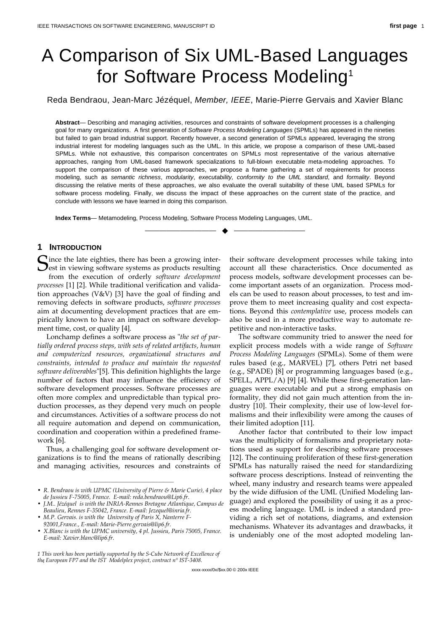# A Comparison of Six UML-Based Languages for Software Process Modeling<sup>1</sup>

Reda Bendraou, Jean-Marc Jézéquel, Member, IEEE, Marie-Pierre Gervais and Xavier Blanc

**Abstract**— Describing and managing activities, resources and constraints of software development processes is a challenging goal for many organizations. A first generation of Software Process Modeling Languages (SPMLs) has appeared in the nineties but failed to gain broad industrial support. Recently however, a second generation of SPMLs appeared, leveraging the strong industrial interest for modeling languages such as the UML. In this article, we propose a comparison of these UML-based SPMLs. While not exhaustive, this comparison concentrates on SPMLs most representative of the various alternative approaches, ranging from UML-based framework specializations to full-blown executable meta-modeling approaches. To support the comparison of these various approaches, we propose a frame gathering a set of requirements for process modeling, such as semantic richness, modularity, executability, conformity to the UML standard, and formality. Beyond discussing the relative merits of these approaches, we also evaluate the overall suitability of these UML based SPMLs for software process modeling. Finally, we discuss the impact of these approaches on the current state of the practice, and conclude with lessons we have learned in doing this comparison.

—————————— ——————————

**Index Terms**— Metamodeling, Process Modeling, Software Process Modeling Languages, UML.

# **1 INTRODUCTION**

 $\sum$  ince the late eighties, there has been a growing inter-Since the late eighties, there has been a growing inter-<br>est in viewing software systems as products resulting<br>from the execution of exclonery coftware development from the execution of orderly *software development processes* [1] [2]. While traditional verification and validation approaches (V&V) [3] have the goal of finding and removing defects in software products, *software processes* aim at documenting development practices that are empirically known to have an impact on software development time, cost, or quality [4]*.*

Lonchamp defines a software process as "*the set of partially ordered process steps, with sets of related artifacts, human and computerized resources, organizational structures and constraints, intended to produce and maintain the requested software deliverables*"[5]. This definition highlights the large number of factors that may influence the efficiency of software development processes. Software processes are often more complex and unpredictable than typical production processes, as they depend very much on people and circumstances. Activities of a software process do not all require automation and depend on communication, coordination and cooperation within a predefined framework [6].

Thus, a challenging goal for software development organizations is to find the means of rationally describing and managing activities, resources and constraints of their software development processes while taking into account all these characteristics. Once documented as process models, software development processes can become important assets of an organization. Process models can be used to reason about processes, to test and improve them to meet increasing quality and cost expectations. Beyond this *contemplative* use, process models can also be used in a more productive way to automate repetitive and non-interactive tasks.

The software community tried to answer the need for explicit process models with a wide range of *Software Process Modeling Languages* (SPMLs). Some of them were rules based (e.g., MARVEL) [7], others Petri net based (e.g., SPADE) [8] or programming languages based (e.g., SPELL, APPL/A) [9] [4]. While these first-generation languages were executable and put a strong emphasis on formality, they did not gain much attention from the industry [10]. Their complexity, their use of low-level formalisms and their inflexibility were among the causes of their limited adoption [11].

Another factor that contributed to their low impact was the multiplicity of formalisms and proprietary notations used as support for describing software processes [12]. The continuing proliferation of these first-generation SPMLs has naturally raised the need for standardizing software process descriptions. Instead of reinventing the wheel, many industry and research teams were appealed by the wide diffusion of the UML (Unified Modeling language) and explored the possibility of using it as a process modeling language. UML is indeed a standard providing a rich set of notations, diagrams, and extension mechanisms. Whatever its advantages and drawbacks, it is undeniably one of the most adopted modeling lan-

xxxx-xxxx/0x/\$xx.00 © 200x IEEE

<sup>————————————————</sup> • *R. Bendraou is with UPMC (University of Pierre & Marie Curie), 4 place de Jussieu F-75005, France. E-mail: reda.bendraou@Lip6.fr.*

<sup>•</sup> *J.M.. Jézéquel is with the INRIA-Rennes Bretagne Atlantique, Campus de Beaulieu, Rennes F-35042, France. E-mail: Jezequel@inria.fr.*

<sup>•</sup> *M.P. Gervais. is with the University of Paris X, Nanterre F-92001,France., E-mail: Marie-Pierre.gervais@lip6.fr.*

<sup>•</sup> *X.Blanc is with the UPMC university, 4 pl. Jussieu, Paris 75005, France. E-mail: Xavier.blanc@lip6.fr.*

<sup>1</sup> *the European FP7 and the IST Modelplex project, contract n° IST-3408. 1 This work has been partially supported by the S-Cube Network of Excellence of*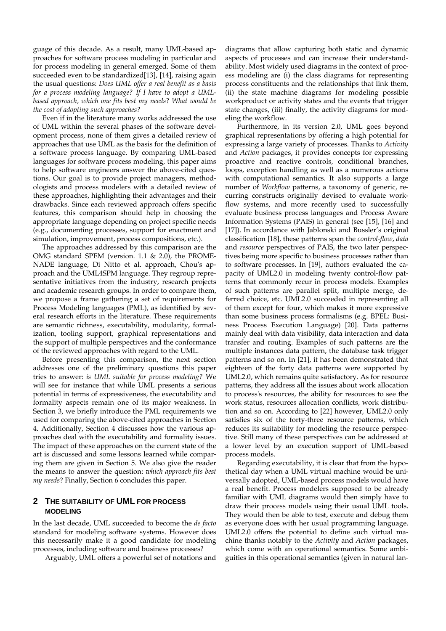guage of this decade. As a result, many UML-based approaches for software process modeling in particular and for process modeling in general emerged. Some of them succeeded even to be standardized[13], [14], raising again the usual questions: *Does UML offer a real benefit as a basis for a process modeling language? If I have to adopt a UMLbased approach, which one fits best my needs*? *What would be the cost of adopting such approaches?*

Even if in the literature many works addressed the use of UML within the several phases of the software development process, none of them gives a detailed review of approaches that use UML as the basis for the definition of a software process language. By comparing UML-based languages for software process modeling, this paper aims to help software engineers answer the above-cited questions. Our goal is to provide project managers, methodologists and process modelers with a detailed review of these approaches, highlighting their advantages and their drawbacks. Since each reviewed approach offers specific features, this comparison should help in choosing the appropriate language depending on project specific needs (e.g., documenting processes, support for enactment and simulation, improvement, process compositions, etc.).

The approaches addressed by this comparison are the OMG standard SPEM (version. 1.1 & 2.0), the PROME-NADE language, Di Nitto et al. approach, Chou's approach and the UML4SPM language. They regroup representative initiatives from the industry, research projects and academic research groups. In order to compare them, we propose a frame gathering a set of requirements for Process Modeling languages (PML), as identified by several research efforts in the literature. These requirements are semantic richness, executability, modularity, formalization, tooling support, graphical representations and the support of multiple perspectives and the conformance of the reviewed approaches with regard to the UML.

Before presenting this comparison, the next section addresses one of the preliminary questions this paper tries to answer: *is UML suitable for process modeling?* We will see for instance that while UML presents a serious potential in terms of expressiveness, the executability and formality aspects remain one of its major weakness. In Section 3, we briefly introduce the PML requirements we used for comparing the above-cited approaches in Section 4. Additionally, Section 4 discusses how the various approaches deal with the executability and formality issues. The impact of these approaches on the current state of the art is discussed and some lessons learned while comparing them are given in Section 5. We also give the reader the means to answer the question: *which approach fits best my needs*? Finally, Section 6 concludes this paper.

# **2 THE SUITABILITY OF UML FOR PROCESS MODELING**

In the last decade, UML succeeded to become the *de facto* standard for modeling software systems. However does this necessarily make it a good candidate for modeling processes, including software and business processes?

Arguably, UML offers a powerful set of notations and

diagrams that allow capturing both static and dynamic aspects of processes and can increase their understandability. Most widely used diagrams in the context of process modeling are (i) the class diagrams for representing process constituents and the relationships that link them, (ii) the state machine diagrams for modeling possible workproduct or activity states and the events that trigger state changes, (iii) finally, the activity diagrams for modeling the workflow.

Furthermore, in its version 2.0, UML goes beyond graphical representations by offering a high potential for expressing a large variety of processes. Thanks to *Activity* and *Action* packages, it provides concepts for expressing proactive and reactive controls, conditional branches, loops, exception handling as well as a numerous actions with computational semantics. It also supports a large number of *Workflow* patterns, a taxonomy of generic, recurring constructs originally devised to evaluate workflow systems, and more recently used to successfully evaluate business process languages and Process Aware Information Systems (PAIS) in general (see [15], [16] and [17]). In accordance with Jablonski and Bussler's original classification [18], these patterns span the *control-flow*, *data* and *resource* perspectives of PAIS, the two later perspectives being more specific to business processes rather than to software processes. In [19], authors evaluated the capacity of UML2.0 in modeling twenty control-flow patterns that commonly recur in process models. Examples of such patterns are parallel split, multiple merge, deferred choice, etc. UML2.0 succeeded in representing all of them except for four, which makes it more expressive than some business process formalisms (e.g. BPEL: Business Process Execution Language) [20]. Data patterns mainly deal with data visibility, data interaction and data transfer and routing. Examples of such patterns are the multiple instances data pattern, the database task trigger patterns and so on. In [21], it has been demonstrated that eighteen of the forty data patterns were supported by UML2.0, which remains quite satisfactory. As for resource patterns, they address all the issues about work allocation to process's resources, the ability for resources to see the work status, resources allocation conflicts, work distribution and so on. According to [22] however, UML2.0 only satisfies six of the forty-three resource patterns, which reduces its suitability for modeling the resource perspective. Still many of these perspectives can be addressed at a lower level by an execution support of UML-based process models.

Regarding executability, it is clear that from the hypothetical day when a UML virtual machine would be universally adopted, UML-based process models would have a real benefit. Process modelers supposed to be already familiar with UML diagrams would then simply have to draw their process models using their usual UML tools. They would then be able to test, execute and debug them as everyone does with her usual programming language. UML2.0 offers the potential to define such virtual machine thanks notably to the *Activity* and *Action* packages, which come with an operational semantics. Some ambiguities in this operational semantics (given in natural lan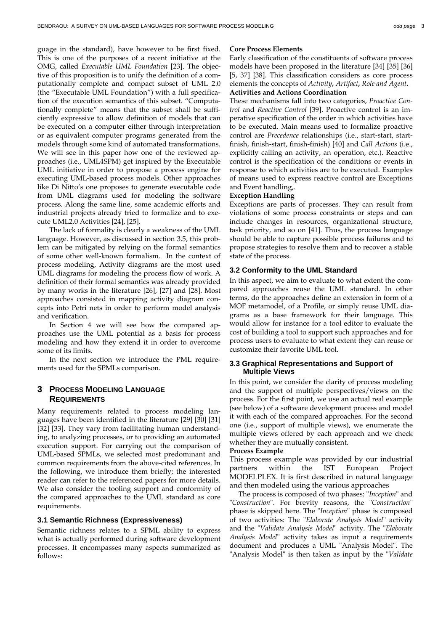guage in the standard), have however to be first fixed. This is one of the purposes of a recent initiative at the OMG, called *Executable UML Foundation* [23]. The objective of this proposition is to unify the definition of a computationally complete and compact subset of UML 2.0 (the "Executable UML Foundation") with a full specification of the execution semantics of this subset. "Computationally complete" means that the subset shall be sufficiently expressive to allow definition of models that can be executed on a computer either through interpretation or as equivalent computer programs generated from the models through some kind of automated transformations. We will see in this paper how one of the reviewed approaches (i.e., UML4SPM) get inspired by the Executable UML initiative in order to propose a process engine for executing UML-based process models. Other approaches like Di Nitto's one proposes to generate executable code from UML diagrams used for modeling the software process. Along the same line, some academic efforts and industrial projects already tried to formalize and to execute UML2.0 Activities [24], [25].

The lack of formality is clearly a weakness of the UML language. However, as discussed in section 3.5, this problem can be mitigated by relying on the formal semantics of some other well-known formalism. In the context of process modeling, Activity diagrams are the most used UML diagrams for modeling the process flow of work. A definition of their formal semantics was already provided by many works in the literature [26], [27] and [28]. Most approaches consisted in mapping activity diagram concepts into Petri nets in order to perform model analysis and verification.

In Section 4 we will see how the compared approaches use the UML potential as a basis for process modeling and how they extend it in order to overcome some of its limits.

In the next section we introduce the PML requirements used for the SPMLs comparison.

# **3 PROCESS MODELING LANGUAGE REQUIREMENTS**

Many requirements related to process modeling languages have been identified in the literature [29] [30] [31] [32] [33]. They vary from facilitating human understanding, to analyzing processes, or to providing an automated execution support. For carrying out the comparison of UML-based SPMLs, we selected most predominant and common requirements from the above-cited references. In the following, we introduce them briefly; the interested reader can refer to the referenced papers for more details. We also consider the tooling support and conformity of the compared approaches to the UML standard as core requirements.

#### **3.1 Semantic Richness (Expressiveness)**

Semantic richness relates to a SPML ability to express what is actually performed during software development processes. It encompasses many aspects summarized as follows:

#### **Core Process Elements**

Early classification of the constituents of software process models have been proposed in the literature [34] [35] [36] [5, 37] [38]. This classification considers as core process elements the concepts of *Activity, Artifact, Role and Agent.*

# **Activities and Actions Coordination**

These mechanisms fall into two categories, *Proactive Control* and *Reactive Control* [39]. Proactive control is an imperative specification of the order in which activities have to be executed. Main means used to formalize proactive control are *Precedence* relationships (i.e., start-start, startfinish, finish-start, finish-finish) [40] and *Call Actions* (i.e., explicitly calling an activity, an operation, etc.). Reactive control is the specification of the conditions or events in response to which activities are to be executed. Examples of means used to express reactive control are Exceptions and Event handling,.

#### **Exception Handling**

Exceptions are parts of processes. They can result from violations of some process constraints or steps and can include changes in resources, organizational structure, task priority, and so on [41]. Thus, the process language should be able to capture possible process failures and to propose strategies to resolve them and to recover a stable state of the process.

#### **3.2 Conformity to the UML Standard**

In this aspect, we aim to evaluate to what extent the compared approaches reuse the UML standard. In other terms, do the approaches define an extension in form of a MOF metamodel, of a Profile, or simply reuse UML diagrams as a base framework for their language. This would allow for instance for a tool editor to evaluate the cost of building a tool to support such approaches and for process users to evaluate to what extent they can reuse or customize their favorite UML tool.

#### **3.3 Graphical Representations and Support of Multiple Views**

In this point, we consider the clarity of process modeling and the support of multiple perspectives/views on the process. For the first point, we use an actual real example (see below) of a software development process and model it with each of the compared approaches. For the second one (i.e., support of multiple views), we enumerate the multiple views offered by each approach and we check whether they are mutually consistent.

#### **Process Example**

This process example was provided by our industrial partners within the IST European Project MODELPLEX. It is first described in natural language and then modeled using the various approaches

The process is composed of two phases: "*Inception*" and "*Construction*". For brevity reasons, the "*Construction*" phase is skipped here. The "*Inception*" phase is composed of two activities: The "*Elaborate Analysis Model*" activity and the "*Validate Analysis Model*" activity. The "*Elaborate Analysis Model*" activity takes as input a requirements document and produces a UML "Analysis Model". The "Analysis Model" is then taken as input by the "*Validate*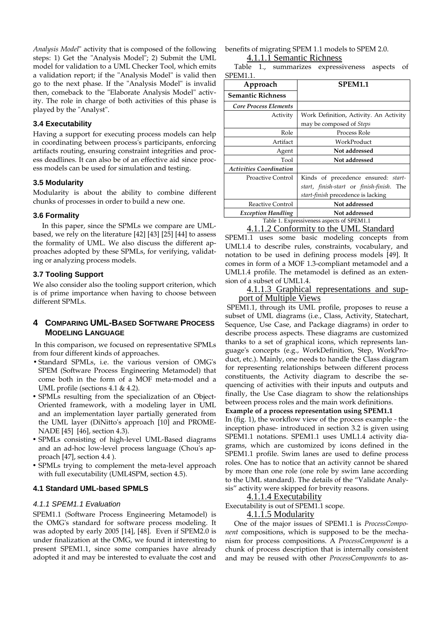*Analysis Model*" activity that is composed of the following steps: 1) Get the "Analysis Model"; 2) Submit the UML model for validation to a UML Checker Tool, which emits a validation report; if the "Analysis Model" is valid then go to the next phase. If the "Analysis Model" is invalid then, comeback to the "Elaborate Analysis Model" activity. The role in charge of both activities of this phase is played by the "Analyst".

# **3.4 Executability**

Having a support for executing process models can help in coordinating between process's participants, enforcing artifacts routing, ensuring constraint integrities and process deadlines. It can also be of an effective aid since process models can be used for simulation and testing.

# **3.5 Modularity**

Modularity is about the ability to combine different chunks of processes in order to build a new one.

#### **3.6 Formality**

In this paper, since the SPMLs we compare are UMLbased, we rely on the literature [42] [43] [25] [44] to assess the formality of UML. We also discuss the different approaches adopted by these SPMLs, for verifying, validating or analyzing process models.

# **3.7 Tooling Support**

We also consider also the tooling support criterion, which is of prime importance when having to choose between different SPMLs.

# **4 COMPARING UML-BASED SOFTWARE PROCESS MODELING LANGUAGE**

 In this comparison, we focused on representative SPMLs from four different kinds of approaches.

- Standard SPMLs, i.e. the various version of OMG's SPEM (Software Process Engineering Metamodel) that come both in the form of a MOF meta-model and a UML profile (sections 4.1 & 4.2).
- SPMLs resulting from the specialization of an Object-Oriented framework, with a modeling layer in UML and an implementation layer partially generated from the UML layer (DiNitto's approach [10] and PROME-NADE [45] [46], section 4.3).
- SPMLs consisting of high-level UML-Based diagrams and an ad-hoc low-level process language (Chou's approach [47], section 4.4 ).
- SPMLs trying to complement the meta-level approach with full executability (UML4SPM, section 4.5).

# **4.1 Standard UML-based SPMLS**

#### 4.1.1 SPEM1.1 Evaluation

SPEM1.1 (Software Process Engineering Metamodel) is the OMG's standard for software process modeling. It was adopted by early 2005 [14], [48]. Even if SPEM2.0 is under finalization at the OMG, we found it interesting to present SPEM1.1, since some companies have already adopted it and may be interested to evaluate the cost and benefits of migrating SPEM 1.1 models to SPEM 2.0.

# 4.1.1.1 Semantic Richness

Table 1., summarizes expressiveness aspects of SPEM1.1.

| Approach                       | <b>SPEM1.1</b>                             |  |  |  |
|--------------------------------|--------------------------------------------|--|--|--|
| <b>Semantic Richness</b>       |                                            |  |  |  |
| <b>Core Process Elements</b>   |                                            |  |  |  |
| Activity                       | Work Definition, Activity. An Activity     |  |  |  |
|                                | may be composed of Steps                   |  |  |  |
| Role                           | Process Role                               |  |  |  |
| Artifact                       | WorkProduct                                |  |  |  |
| Agent                          | Not addressed                              |  |  |  |
| Tool                           | Not addressed                              |  |  |  |
| <b>Activities Coordination</b> |                                            |  |  |  |
| Proactive Control              | Kinds of precedence ensured: start-        |  |  |  |
|                                | start, finish-start or finish-finish. The  |  |  |  |
|                                | start-finish precedence is lacking         |  |  |  |
| Reactive Control               | Not addressed                              |  |  |  |
| <b>Exception Handling</b>      | Not addressed                              |  |  |  |
|                                | Table 1. Expressiveness aspects of SPEM1.1 |  |  |  |

4.1.1.2 Conformity to the UML Standard SPEM1.1 uses some basic modeling concepts from UML1.4 to describe rules, constraints, vocabulary, and notation to be used in defining process models [49]. It comes in form of a MOF 1.3-compliant metamodel and a UML1.4 profile. The metamodel is defined as an extension of a subset of UML1.4.

# 4.1.1.3 Graphical representations and support of Multiple Views

 SPEM1.1, through its UML profile, proposes to reuse a subset of UML diagrams (i.e., Class, Activity, Statechart, Sequence, Use Case, and Package diagrams) in order to describe process aspects. These diagrams are customized thanks to a set of graphical icons, which represents language's concepts (e.g., WorkDefinition, Step, WorkProduct, etc.). Mainly, one needs to handle the Class diagram for representing relationships between different process constituents, the Activity diagram to describe the sequencing of activities with their inputs and outputs and finally, the Use Case diagram to show the relationships between process roles and the main work definitions.

# **Example of a process representation using SPEM1.1**

In (fig. 1), the workflow view of the process example - the inception phase- introduced in section 3.2 is given using SPEM1.1 notations. SPEM1.1 uses UML1.4 activity diagrams, which are customized by icons defined in the SPEM1.1 profile. Swim lanes are used to define process roles. One has to notice that an activity cannot be shared by more than one role (one role by swim lane according to the UML standard). The details of the "Validate Analysis" activity were skipped for brevity reasons.

#### 4.1.1.4 Executability

Executability is out of SPEM1.1 scope.

#### 4.1.1.5 Modularity

One of the major issues of SPEM1.1 is *ProcessComponent* compositions, which is supposed to be the mechanism for process compositions. A *ProcessComponent* is a chunk of process description that is internally consistent and may be reused with other *ProcessComponents* to as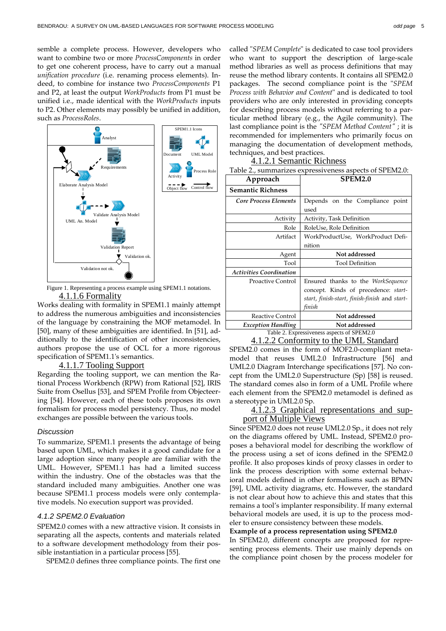semble a complete process. However, developers who want to combine two or more *ProcessComponents* in order to get one coherent process, have to carry out a manual *unification procedure* (i.e. renaming process elements). Indeed, to combine for instance two *ProcessComponents* P1 and P2, at least the output *WorkProducts* from P1 must be unified i.e., made identical with the *WorkProducts* inputs to P2. Other elements may possibly be unified in addition, such as *ProcessRoles*.



Figure 1. Representing a process example using SPEM1.1 notations. 4.1.1.6 Formality

Works dealing with formality in SPEM1.1 mainly attempt to address the numerous ambiguities and inconsistencies of the language by constraining the MOF metamodel. In [50], many of these ambiguities are identified. In [51], additionally to the identification of other inconsistencies, authors propose the use of OCL for a more rigorous specification of SPEM1.1's semantics.

#### 4.1.1.7 Tooling Support

Regarding the tooling support, we can mention the Rational Process Workbench (RPW) from Rational [52], IRIS Suite from Osellus [53], and SPEM Profile from Objecteering [54]. However, each of these tools proposes its own formalism for process model persistency. Thus, no model exchanges are possible between the various tools.

#### **Discussion**

To summarize, SPEM1.1 presents the advantage of being based upon UML, which makes it a good candidate for a large adoption since many people are familiar with the UML. However, SPEM1.1 has had a limited success within the industry. One of the obstacles was that the standard included many ambiguities. Another one was because SPEM1.1 process models were only contemplative models. No execution support was provided.

#### 4.1.2 SPEM2.0 Evaluation

SPEM2.0 comes with a new attractive vision. It consists in separating all the aspects, contents and materials related to a software development methodology from their possible instantiation in a particular process [55].

SPEM2.0 defines three compliance points. The first one

called "*SPEM Complete*" is dedicated to case tool providers who want to support the description of large-scale method libraries as well as process definitions that may reuse the method library contents. It contains all SPEM2.0 packages. The second compliance point is the "*SPEM Process with Behavior and Content*" and is dedicated to tool providers who are only interested in providing concepts for describing process models without referring to a particular method library (e.g., the Agile community). The last compliance point is the *"SPEM Method Content"* ; it is recommended for implementers who primarily focus on managing the documentation of development methods, techniques, and best practices.

|--|

| Table 2., summarizes expressiveness aspects of SPEM2.0: |                                               |  |  |  |  |  |
|---------------------------------------------------------|-----------------------------------------------|--|--|--|--|--|
| Approach                                                | <b>SPEM2.0</b>                                |  |  |  |  |  |
| <b>Semantic Richness</b>                                |                                               |  |  |  |  |  |
| Core Process Elements                                   | Depends on the Compliance point               |  |  |  |  |  |
|                                                         | used                                          |  |  |  |  |  |
| Activity                                                | Activity, Task Definition                     |  |  |  |  |  |
| Role                                                    | RoleUse, Role Definition                      |  |  |  |  |  |
| Artifact                                                | WorkProductUse, WorkProduct Defi-             |  |  |  |  |  |
|                                                         | nition                                        |  |  |  |  |  |
|                                                         |                                               |  |  |  |  |  |
| Agent                                                   | Not addressed                                 |  |  |  |  |  |
| Tool                                                    | <b>Tool Definition</b>                        |  |  |  |  |  |
| <b>Activities Coordination</b>                          |                                               |  |  |  |  |  |
| <b>Proactive Control</b>                                | Ensured thanks to the WorkSequence            |  |  |  |  |  |
|                                                         | concept. Kinds of precedence: start-          |  |  |  |  |  |
|                                                         | start, finish-start, finish-finish and start- |  |  |  |  |  |
|                                                         | finish                                        |  |  |  |  |  |
| Reactive Control                                        | Not addressed                                 |  |  |  |  |  |
| <b>Exception Handling</b>                               | Not addressed                                 |  |  |  |  |  |

# 4.1.2.2 Conformity to the UML Standard

SPEM2.0 comes in the form of MOF2.0-compliant metamodel that reuses UML2.0 Infrastructure [56] and UML2.0 Diagram Interchange specifications [57]. No concept from the UML2.0 Superstructure (Sp) [58] is reused. The standard comes also in form of a UML Profile where each element from the SPEM2.0 metamodel is defined as a stereotype in UML2.0 Sp.

#### 4.1.2.3 Graphical representations and support of Multiple Views

Since SPEM2.0 does not reuse UML2.0 Sp., it does not rely on the diagrams offered by UML. Instead, SPEM2.0 proposes a behavioral model for describing the workflow of the process using a set of icons defined in the SPEM2.0 profile. It also proposes kinds of proxy classes in order to link the process description with some external behavioral models defined in other formalisms such as BPMN [59], UML activity diagrams, etc. However, the standard is not clear about how to achieve this and states that this remains a tool's implanter responsibility. If many external behavioral models are used, it is up to the process modeler to ensure consistency between these models.

#### **Example of a process representation using SPEM2.0**

In SPEM2.0, different concepts are proposed for representing process elements. Their use mainly depends on the compliance point chosen by the process modeler for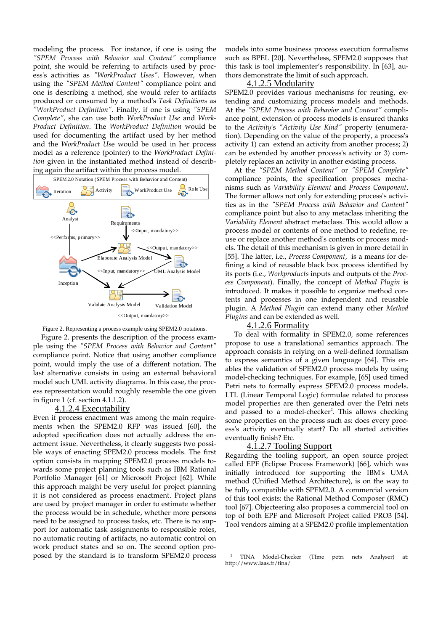modeling the process. For instance, if one is using the *"SPEM Process with Behavior and Content"* compliance point, she would be referring to artifacts used by process's activities as *"WorkProduct Uses"*. However, when using the *"SPEM Method Content"* compliance point and one is describing a method, she would refer to artifacts produced or consumed by a method's *Task Definitions* as *"WorkProduct Definition"*. Finally, if one is using *"SPEM Complete"*, she can use both *WorkProduct Use* and *Work-Product Definition*. The *WorkProduct Definition* would be used for documenting the artifact used by her method and the *WorkProduct Us*e would be used in her process model as a reference (pointer) to the *WorkProduct Definition* given in the instantiated method instead of describing again the artifact within the process model.





Figure 2. presents the description of the process example using the *"SPEM Process with Behavior and Content"* compliance point. Notice that using another compliance point, would imply the use of a different notation. The last alternative consists in using an external behavioral model such UML activity diagrams. In this case, the process representation would roughly resemble the one given in figure 1 (cf. section 4.1.1.2).

# 4.1.2.4 Executability

Even if process enactment was among the main requirements when the SPEM2.0 RFP was issued [60], the adopted specification does not actually address the enactment issue. Nevertheless, it clearly suggests two possible ways of enacting SPEM2.0 process models. The first option consists in mapping SPEM2.0 process models towards some project planning tools such as IBM Rational Portfolio Manager [61] or Microsoft Project [62]. While this approach maight be very useful for project planning it is not considered as process enactment. Project plans are used by project manager in order to estimate whether the process would be in schedule, whether more persons need to be assigned to process tasks, etc. There is no support for automatic task assignments to responsible roles, no automatic routing of artifacts, no automatic control on work product states and so on. The second option proposed by the standard is to transform SPEM2.0 process models into some business process execution formalisms such as BPEL [20]. Nevertheless, SPEM2.0 supposes that this task is tool implementer's responsibility. In [63], authors demonstrate the limit of such approach.

#### 4.1.2.5 Modularity

SPEM2.0 provides various mechanisms for reusing, extending and customizing process models and methods. At the *"SPEM Process with Behavior and Content"* compliance point, extension of process models is ensured thanks to the *Activity*'s *"Activity Use Kind"* property (enumeration). Depending on the value of the property, a process's activity 1) can extend an activity from another process; 2) can be extended by another process's activity or 3) completely replaces an activity in another existing process.

At the *"SPEM Method Content"* or *"SPEM Complete"* compliance points, the specification proposes mechanisms such as *Variability Element* and *Process Component*. The former allows not only for extending process's activities as in the *"SPEM Process with Behavior and Content"* compliance point but also to any metaclass inheriting the *Variability Element* abstract metaclass. This would allow a process model or contents of one method to redefine, reuse or replace another method's contents or process models. The detail of this mechanism is given in more detail in [55]. The latter, i.e., *Process Component*, is a means for defining a kind of reusable black box process identified by its ports (i.e., *Workproducts* inputs and outputs of the *Process Component*). Finally, the concept of *Method Plugin* is introduced. It makes it possible to organize method contents and processes in one independent and reusable plugin. A *Method Plugin* can extend many other *Method Plugins* and can be extended as well.

# 4.1.2.6 Formality

To deal with formality in SPEM2.0, some references propose to use a translational semantics approach. The approach consists in relying on a well-defined formalism to express semantics of a given language [64]. This enables the validation of SPEM2.0 process models by using model-checking techniques. For example, [65] used timed Petri nets to formally express SPEM2.0 process models. LTL (Linear Temporal Logic) formulae related to process model properties are then generated over the Petri nets and passed to a model-checker<sup>2</sup>. This allows checking some properties on the process such as: does every process's activity eventually start? Do all started activities eventually finish? Etc.

# 4.1.2.7 Tooling Support

Regarding the tooling support, an open source project called EPF (Eclipse Process Framework) [66], which was initially introduced for supporting the IBM's UMA method (Unified Method Architecture), is on the way to be fully compatible with SPEM2.0. A commercial version of this tool exists: the Rational Method Composer (RMC) tool [67]. Objecteering also proposes a commercial tool on top of both EPF and Microsoft Project called PRO3 [54]. Tool vendors aiming at a SPEM2.0 profile implementation

<sup>2</sup> TINA Model-Checker (TIme petri nets Analyser) at: http://www.laas.fr/tina/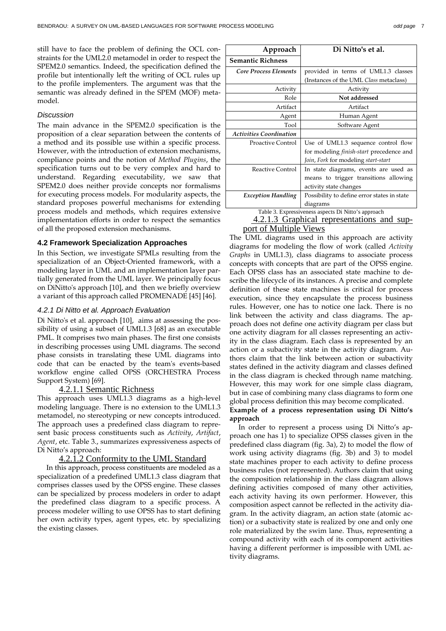still have to face the problem of defining the OCL constraints for the UML2.0 metamodel in order to respect the SPEM2.0 semantics. Indeed, the specification defined the profile but intentionally left the writing of OCL rules up to the profile implementers. The argument was that the semantic was already defined in the SPEM (MOF) metamodel.

#### **Discussion**

The main advance in the SPEM2.0 specification is the proposition of a clear separation between the contents of a method and its possible use within a specific process. However, with the introduction of extension mechanisms, compliance points and the notion of *Method Plugins*, the specification turns out to be very complex and hard to understand. Regarding executability, we saw that SPEM2.0 does neither provide concepts nor formalisms for executing process models. For modularity aspects, the standard proposes powerful mechanisms for extending process models and methods, which requires extensive implementation efforts in order to respect the semantics of all the proposed extension mechanisms.

#### **4.2 Framework Specialization Approaches**

In this Section, we investigate SPMLs resulting from the specialization of an Object-Oriented framework, with a modeling layer in UML and an implementation layer partially generated from the UML layer. We principally focus on DiNitto's approach [10], and then we briefly overview a variant of this approach called PROMENADE [45] [46].

#### 4.2.1 Di Nitto et al. Approach Evaluation

Di Nitto's et al. approach [10], aims at assessing the possibility of using a subset of UML1.3 [68] as an executable PML. It comprises two main phases. The first one consists in describing processes using UML diagrams. The second phase consists in translating these UML diagrams into code that can be enacted by the team's events-based workflow engine called OPSS (ORCHESTRA Process Support System) [69].

# 4.2.1.1 Semantic Richness

This approach uses UML1.3 diagrams as a high-level modeling language. There is no extension to the UML1.3 metamodel, no stereotyping or new concepts introduced. The approach uses a predefined class diagram to represent basic process constituents such as *Activity*, *Artifact*, *Agent*, etc. Table 3., summarizes expressiveness aspects of Di Nitto's approach:

#### 4.2.1.2 Conformity to the UML Standard

In this approach, process constituents are modeled as a specialization of a predefined UML1.3 class diagram that comprises classes used by the OPSS engine. These classes can be specialized by process modelers in order to adapt the predefined class diagram to a specific process. A process modeler willing to use OPSS has to start defining her own activity types, agent types, etc. by specializing the existing classes.

| Approach                       | Di Nitto's et al.                                   |  |  |  |
|--------------------------------|-----------------------------------------------------|--|--|--|
| <b>Semantic Richness</b>       |                                                     |  |  |  |
| <b>Core Process Elements</b>   | provided in terms of UML1.3 classes                 |  |  |  |
|                                | (Instances of the UML Class metaclass)              |  |  |  |
| Activity                       | Activity                                            |  |  |  |
| Role                           | Not addressed                                       |  |  |  |
| Artifact                       | Artifact                                            |  |  |  |
| Agent                          | Human Agent                                         |  |  |  |
| Tool                           | Software Agent                                      |  |  |  |
| <b>Activities Coordination</b> |                                                     |  |  |  |
| Proactive Control              | Use of UML1.3 sequence control flow                 |  |  |  |
|                                | for modeling <i>finish-start</i> precedence and     |  |  |  |
|                                | Join, Fork for modeling start-start                 |  |  |  |
| Reactive Control               | In state diagrams, events are used as               |  |  |  |
|                                | means to trigger transitions allowing               |  |  |  |
|                                | activity state changes                              |  |  |  |
| <b>Exception Handling</b>      | Possibility to define error states in state         |  |  |  |
|                                | diagrams                                            |  |  |  |
|                                | Table 3. Expressiveness aspects Di Nitto's approach |  |  |  |
|                                | 4.2.1.3 Graphical representations and sup-          |  |  |  |

 4.2.1.3 Graphical representations and support of Multiple Views

The UML diagrams used in this approach are activity diagrams for modeling the flow of work (called *Activity Graphs* in UML1.3), class diagrams to associate process concepts with concepts that are part of the OPSS engine. Each OPSS class has an associated state machine to describe the lifecycle of its instances. A precise and complete definition of these state machines is critical for process execution, since they encapsulate the process business rules. However, one has to notice one lack. There is no link between the activity and class diagrams. The approach does not define one activity diagram per class but one activity diagram for all classes representing an activity in the class diagram. Each class is represented by an action or a subactivity state in the activity diagram. Authors claim that the link between action or subactivity states defined in the activity diagram and classes defined in the class diagram is checked through name matching. However, this may work for one simple class diagram, but in case of combining many class diagrams to form one global process definition this may become complicated.

#### **Example of a process representation using Di Nitto's approach**

In order to represent a process using Di Nitto's approach one has 1) to specialize OPSS classes given in the predefined class diagram (fig. 3a), 2) to model the flow of work using activity diagrams (fig. 3b) and 3) to model state machines proper to each activity to define process business rules (not represented). Authors claim that using the composition relationship in the class diagram allows defining activities composed of many other activities, each activity having its own performer. However, this composition aspect cannot be reflected in the activity diagram. In the activity diagram, an action state (atomic action) or a subactivity state is realized by one and only one role materialized by the swim lane. Thus, representing a compound activity with each of its component activities having a different performer is impossible with UML activity diagrams.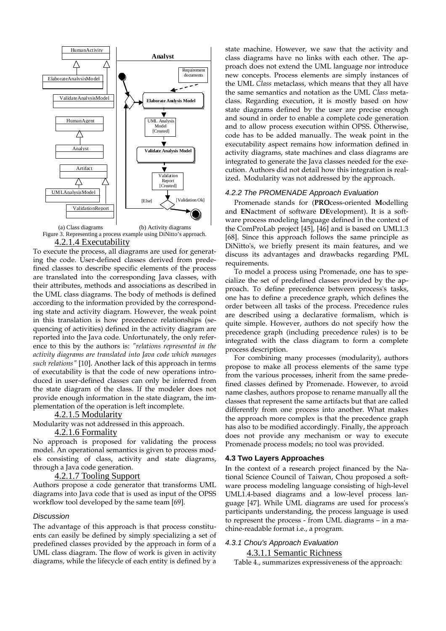

Figure 3. Representing a process example using DiNitto's approach.

4.2.1.4 Executability

To execute the process, all diagrams are used for generating the code. User-defined classes derived from predefined classes to describe specific elements of the process are translated into the corresponding Java classes, with their attributes, methods and associations as described in the UML class diagrams. The body of methods is defined according to the information provided by the corresponding state and activity diagram. However, the weak point in this translation is how precedence relationships (sequencing of activities) defined in the activity diagram are reported into the Java code. Unfortunately, the only reference to this by the authors is: *"relations represented in the activity diagrams are translated into Java code which manages such relations"* [10]. Another lack of this approach in terms of executability is that the code of new operations introduced in user-defined classes can only be inferred from the state diagram of the class. If the modeler does not provide enough information in the state diagram, the implementation of the operation is left incomplete.

# 4.2.1.5 Modularity

Modularity was not addressed in this approach.

#### 4.2.1.6 Formality

No approach is proposed for validating the process model. An operational semantics is given to process models consisting of class, activity and state diagrams, through a Java code generation.

#### 4.2.1.7 Tooling Support

Authors propose a code generator that transforms UML diagrams into Java code that is used as input of the OPSS workflow tool developed by the same team [69].

#### **Discussion**

The advantage of this approach is that process constituents can easily be defined by simply specializing a set of predefined classes provided by the approach in form of a UML class diagram. The flow of work is given in activity diagrams, while the lifecycle of each entity is defined by a state machine. However, we saw that the activity and class diagrams have no links with each other. The approach does not extend the UML language nor introduce new concepts. Process elements are simply instances of the UML *Class* metaclass, which means that they all have the same semantics and notation as the UML *Class* metaclass. Regarding execution, it is mostly based on how state diagrams defined by the user are precise enough and sound in order to enable a complete code generation and to allow process execution within OPSS. Otherwise, code has to be added manually. The weak point in the executability aspect remains how information defined in activity diagrams, state machines and class diagrams are integrated to generate the Java classes needed for the execution. Authors did not detail how this integration is realized. Modularity was not addressed by the approach.

#### 4.2.2 The PROMENADE Approach Evaluation

Promenade stands for (**PRO**cess-oriented **M**odelling and **EN**actment of software **DE**velopment). It is a software process modeling language defined in the context of the ComProLab project [45], [46] and is based on UML1.3 [68]. Since this approach follows the same principle as DiNitto's, we briefly present its main features, and we discuss its advantages and drawbacks regarding PML requirements.

To model a process using Promenade, one has to specialize the set of predefined classes provided by the approach. To define precedence between process's tasks, one has to define a precedence graph, which defines the order between all tasks of the process. Precedence rules are described using a declarative formalism, which is quite simple. However, authors do not specify how the precedence graph (including precedence rules) is to be integrated with the class diagram to form a complete process description.

For combining many processes (modularity), authors propose to make all process elements of the same type from the various processes, inherit from the same predefined classes defined by Promenade. However, to avoid name clashes, authors propose to rename manually all the classes that represent the same artifacts but that are called differently from one process into another. What makes the approach more complex is that the precedence graph has also to be modified accordingly. Finally, the approach does not provide any mechanism or way to execute Promenade process models; no tool was provided.

#### **4.3 Two Layers Approaches**

In the context of a research project financed by the National Science Council of Taiwan, Chou proposed a software process modeling language consisting of high-level UML1.4-based diagrams and a low-level process language [47]. While UML diagrams are used for process's participants understanding, the process language is used to represent the process - from UML diagrams – in a machine-readable format i.e., a program.

# 4.3.1 Chou's Approach Evaluation

4.3.1.1 Semantic Richness

Table 4., summarizes expressiveness of the approach: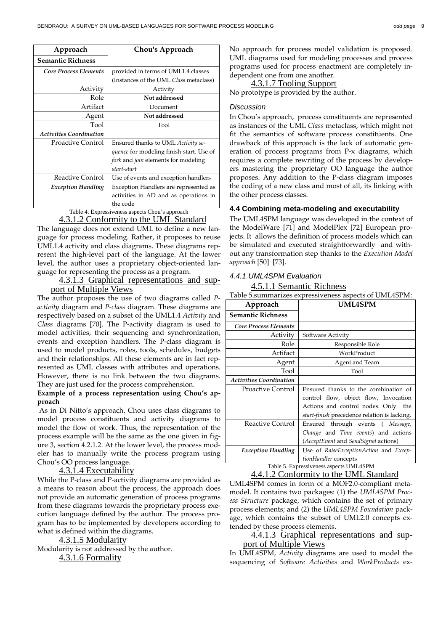| Approach                       | Chou's Approach                                 |  |
|--------------------------------|-------------------------------------------------|--|
| <b>Semantic Richness</b>       |                                                 |  |
| <b>Core Process Elements</b>   | provided in terms of UML1.4 classes             |  |
|                                | (Instances of the UML Class metaclass)          |  |
| Activity                       | Activity                                        |  |
| Role                           | Not addressed                                   |  |
| Artifact                       | Document                                        |  |
| Agent                          | Not addressed                                   |  |
| Tool                           | Tool                                            |  |
| <b>Activities Coordination</b> |                                                 |  |
| Proactive Control              | Ensured thanks to UML Activity se-              |  |
|                                | <i>quence</i> for modeling finish-start. Use of |  |
|                                | fork and join elements for modeling             |  |
|                                | start-start                                     |  |
| Reactive Control               | Use of events and exception handlers            |  |
| <b>Exception Handling</b>      | Exception Handlers are represented as           |  |
|                                | activities in AD and as operations in           |  |
| ----                           | the code<br>$\mathbf{r}$                        |  |

#### Table 4. Expressiveness aspects Chou's approach 4.3.1.2 Conformity to the UML Standard

The language does not extend UML to define a new language for process modeling. Rather, it proposes to reuse UML1.4 activity and class diagrams. These diagrams represent the high-level part of the language. At the lower level, the author uses a proprietary object-oriented language for representing the process as a program.

# 4.3.1.3 Graphical representations and support of Multiple Views

The author proposes the use of two diagrams called *Pactivity* diagram and *P-class* diagram. These diagrams are respectively based on a subset of the UML1.4 *Activity* and *Class* diagrams [70]. The P-activity diagram is used to model activities, their sequencing and synchronization, events and exception handlers. The P-class diagram is used to model products, roles, tools, schedules, budgets and their relationships. All these elements are in fact represented as UML classes with attributes and operations. However, there is no link between the two diagrams. They are just used for the process comprehension.

# **Example of a process representation using Chou's approach**

 As in Di Nitto's approach, Chou uses class diagrams to model process constituents and activity diagrams to model the flow of work. Thus, the representation of the process example will be the same as the one given in figure 3, section 4.2.1.2. At the lower level, the process modeler has to manually write the process program using Chou's OO process language.

# 4.3.1.4 Executability

While the P-class and P-activity diagrams are provided as a means to reason about the process, the approach does not provide an automatic generation of process programs from these diagrams towards the proprietary process execution language defined by the author. The process program has to be implemented by developers according to what is defined within the diagrams.

4.3.1.5 Modularity Modularity is not addressed by the author.

4.3.1.6 Formality

No approach for process model validation is proposed. UML diagrams used for modeling processes and process programs used for process enactment are completely independent one from one another.

# 4.3.1.7 Tooling Support

No prototype is provided by the author.

# **Discussion**

In Chou's approach, process constituents are represented as instances of the UML *Class* metaclass, which might not fit the semantics of software process constituents. One drawback of this approach is the lack of automatic generation of process programs from P-x diagrams, which requires a complete rewriting of the process by developers mastering the proprietary OO language the author proposes. Any addition to the P-class diagram imposes the coding of a new class and most of all, its linking with the other process classes.

# **4.4 Combining meta-modeling and executability**

The UML4SPM language was developed in the context of the ModelWare [71] and ModelPlex [72] European projects. It allows the definition of process models which can be simulated and executed straightforwardly and without any transformation step thanks to the *Execution Model approach* [50] [73].

# 4.4.1 UML4SPM Evaluation

4.5.1.1 Semantic Richness

Table 5.summarizes expressiveness aspects of UML4SPM:

| Approach                       | <b>UML4SPM</b>                                                                                                                                                              |  |  |  |
|--------------------------------|-----------------------------------------------------------------------------------------------------------------------------------------------------------------------------|--|--|--|
| <b>Semantic Richness</b>       |                                                                                                                                                                             |  |  |  |
| <b>Core Process Elements</b>   |                                                                                                                                                                             |  |  |  |
| Activity                       | Software Activity                                                                                                                                                           |  |  |  |
| Role                           | Responsible Role                                                                                                                                                            |  |  |  |
| Artifact                       | WorkProduct                                                                                                                                                                 |  |  |  |
| Agent                          | Agent and Team                                                                                                                                                              |  |  |  |
| Tool                           | Tool                                                                                                                                                                        |  |  |  |
| <b>Activities Coordination</b> |                                                                                                                                                                             |  |  |  |
| Proactive Control              | Ensured thanks to the combination of<br>control flow, object flow, Invocation<br>Actions and control nodes. Only the<br><i>start-finish</i> precedence relation is lacking. |  |  |  |
| Reactive Control               | Ensured through events (Message,<br>Change and Time events) and actions<br>( <i>AcceptEvent</i> and <i>SendSignal</i> actions)                                              |  |  |  |
| <b>Exception Handling</b>      | Use of RaiseExceptionAction and Excep-<br>tionHandler concepts<br>Table 5. Expressiveness aspects UML4SPM                                                                   |  |  |  |

4.4.1.2 Conformity to the UML Standard

UML4SPM comes in form of a MOF2.0-compliant metamodel. It contains two packages: (1) the *UML4SPM Process Structure* package, which contains the set of primary process elements; and (2) the *UML4SPM Foundation* package, which contains the subset of UML2.0 concepts extended by these process elements.

# 4.4.1.3 Graphical representations and support of Multiple Views

In UML4SPM, *Activity* diagrams are used to model the sequencing of *Software Activities* and *WorkProducts* ex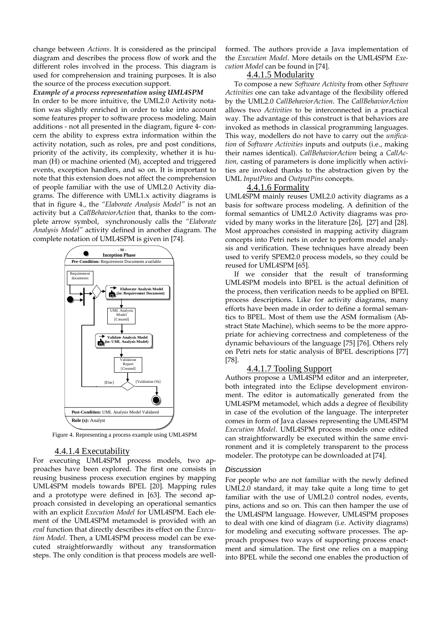change between *Actions*. It is considered as the principal diagram and describes the process flow of work and the different roles involved in the process. This diagram is used for comprehension and training purposes. It is also the source of the process execution support.

#### *Example of a process representation using UML4SPM*

In order to be more intuitive, the UML2.0 Activity notation was slightly enriched in order to take into account some features proper to software process modeling. Main additions - not all presented in the diagram, figure 4- concern the ability to express extra information within the activity notation, such as roles, pre and post conditions, priority of the activity, its complexity, whether it is human (H) or machine oriented (M), accepted and triggered events, exception handlers, and so on. It is important to note that this extension does not affect the comprehension of people familiar with the use of UML2.0 Activity diagrams. The difference with UML1.x activity diagrams is that in figure 4., the *"Elaborate Analysis Model"* is not an activity but a *CallBehaviorAction* that, thanks to the complete arrow symbol, synchronously calls the *"Elaborate Analysis Model"* activity defined in another diagram. The complete notation of UML4SPM is given in [74].



Figure 4. Representing a process example using UML4SPM

#### 4.4.1.4 Executability

For executing UML4SPM process models, two approaches have been explored. The first one consists in reusing business process execution engines by mapping UML4SPM models towards BPEL [20]. Mapping rules and a prototype were defined in [63]. The second approach consisted in developing an operational semantics with an explicit *Execution Model* for UML4SPM. Each element of the UML4SPM metamodel is provided with an *eval* function that directly describes its effect on the *Execution Model*. Then, a UML4SPM process model can be executed straightforwardly without any transformation steps. The only condition is that process models are wellformed. The authors provide a Java implementation of the *Execution Model*. More details on the UML4SPM *Execution Model* can be found in [74].

# 4.4.1.5 Modularity

To compose a new *Software Activity* from other *Software Activities* one can take advantage of the flexibility offered by the UML2.0 *CallBehaviorAction*. The *CallBehaviorAction* allows two *Activities* to be interconnected in a practical way. The advantage of this construct is that behaviors are invoked as methods in classical programming languages. This way, modellers do not have to carry out the *unification* of *Software Activities* inputs and outputs (i.e., making their names identical). *CallBehaviorAction* being a *CallAction,* casting of parameters is done implicitly when activities are invoked thanks to the abstraction given by the UML *InputPins* and *OutputPins* concepts.

#### 4.4.1.6 Formality

UML4SPM mainly reuses UML2.0 activity diagrams as a basis for software process modeling. A definition of the formal semantics of UML2.0 Activity diagrams was provided by many works in the literature [26], [27] and [28]. Most approaches consisted in mapping activity diagram concepts into Petri nets in order to perform model analysis and verification. These techniques have already been used to verify SPEM2.0 process models, so they could be reused for UML4SPM [65].

If we consider that the result of transforming UML4SPM models into BPEL is the actual definition of the process, then verification needs to be applied on BPEL process descriptions. Like for activity diagrams, many efforts have been made in order to define a formal semantics to BPEL. Most of them use the ASM formalism (Abstract State Machine), which seems to be the more appropriate for achieving correctness and completeness of the dynamic behaviours of the language [75] [76]. Others rely on Petri nets for static analysis of BPEL descriptions [77] [78].

# 4.4.1.7 Tooling Support

Authors propose a UML4SPM editor and an interpreter, both integrated into the Eclipse development environment. The editor is automatically generated from the UML4SPM metamodel, which adds a degree of flexibility in case of the evolution of the language. The interpreter comes in form of Java classes representing the UML4SPM *Execution Model*. UML4SPM process models once edited can straightforwardly be executed within the same environment and it is completely transparent to the process modeler. The prototype can be downloaded at [74].

#### Discussion

For people who are not familiar with the newly defined UML2.0 standard, it may take quite a long time to get familiar with the use of UML2.0 control nodes, events, pins, actions and so on. This can then hamper the use of the UML4SPM language. However, UML4SPM proposes to deal with one kind of diagram (i.e. Activity diagrams) for modeling and executing software processes. The approach proposes two ways of supporting process enactment and simulation. The first one relies on a mapping into BPEL while the second one enables the production of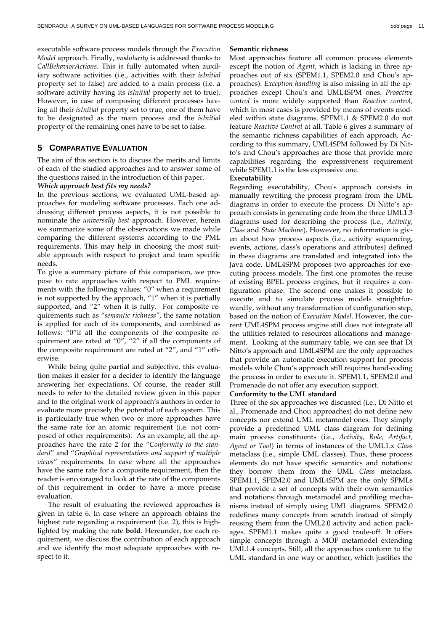executable software process models through the *Execution Model* approach. Finally, *modularity* is addressed thanks to *CallBehaviorActions*. This is fully automated when auxiliary software activities (i.e., activities with their *isInitial* property set to false) are added to a main process (i.e. a software activity having its *isInitial* property set to true). However, in case of composing different processes having all their *isInitial* property set to true, one of them have to be designated as the main process and the *isInitial* property of the remaining ones have to be set to false.

# **5 COMPARATIVE EVALUATION**

The aim of this section is to discuss the merits and limits of each of the studied approaches and to answer some of the questions raised in the introduction of this paper.

#### *Which approach best fits my needs?*

In the previous sections, we evaluated UML-based approaches for modeling software processes. Each one addressing different process aspects, it is not possible to nominate the *universally best* approach. However, herein we summarize some of the observations we made while comparing the different systems according to the PML requirements. This may help in choosing the most suitable approach with respect to project and team specific needs.

To give a summary picture of this comparison, we propose to rate approaches with respect to PML requirements with the following values: "0" when a requirement is not supported by the approach, "1" when it is partially supported, and "2" when it is fully. For composite requirements such as "*semantic richness"*, the same notation is applied for each of its components, and combined as follows: "0"if all the components of the composite requirement are rated at " $0$ ", "2" if all the components of the composite requirement are rated at "2", and "1" otherwise.

While being quite partial and subjective, this evaluation makes it easier for a decider to identify the language answering her expectations. Of course, the reader still needs to refer to the detailed review given in this paper and to the original work of approach's authors in order to evaluate more precisely the potential of each system. This is particularly true when two or more approaches have the same rate for an atomic requirement (i.e. not composed of other requirements). As an example, all the approaches have the rate 2 for the "*Conformity to the standard*" and "*Graphical representations and support of multiple views*" requirements. In case where all the approaches have the same rate for a composite requirement, then the reader is encouraged to look at the rate of the components of this requirement in order to have a more precise evaluation.

The result of evaluating the reviewed approaches is given in table 6. In case where an approach obtains the highest rate regarding a requirement (i.e. 2), this is highlighted by making the rate **bold**. Hereunder, for each requirement, we discuss the contribution of each approach and we identify the most adequate approaches with respect to it.

#### **Semantic richness**

Most approaches feature all common process elements except the notion of *Agent*, which is lacking in three approaches out of six (SPEM1.1, SPEM2.0 and Chou's approaches). *Exception handling* is also missing in all the approaches except Chou's and UML4SPM ones. *Proactive control* is more widely supported than *Reactive contro*l, which in most cases is provided by means of events modeled within state diagrams. SPEM1.1 & SPEM2.0 do not feature *Reactive Control* at all. Table 6 gives a summary of the semantic richness capabilities of each approach. According to this summary, UML4SPM followed by Di Nitto's and Chou's approaches are those that provide more capabilities regarding the expressiveness requirement while SPEM1.1 is the less expressive one.

#### **Executability**

Regarding executability, Chou's approach consists in manually rewriting the process program from the UML diagrams in order to execute the process. Di Nitto's approach consists in generating code from the three UML1.3 diagrams used for describing the process (i.e., *Activity*, *Class* and *State Machine*). However, no information is given about how process aspects (i.e., activity sequencing, events, actions, class's operations and attributes) defined in these diagrams are translated and integrated into the Java code. UML4SPM proposes two approaches for executing process models. The first one promotes the reuse of existing BPEL process engines, but it requires a configuration phase. The second one makes it possible to execute and to simulate process models straightforwardly, without any transformation of configuration step, based on the notion of *Execution Model*. However, the current UML4SPM process engine still does not integrate all the utilities related to resources allocations and management. Looking at the summary table, we can see that Di Nitto's approach and UML4SPM are the only approaches that provide an automatic execution support for process models while Chou's approach still requires hand-coding the process in order to execute it. SPEM1.1, SPEM2.0 and Promenade do not offer any execution support.

#### **Conformity to the UML standard**

Three of the six approaches we discussed (i.e., Di Nitto et al., Promenade and Chou approaches) do not define new concepts nor extend UML metamodel ones. They simply provide a predefined UML class diagram for defining main process constituents (i.e., *Activity, Role, Artifact, Agent or Tool*) in terms of instances of the UML1.x *Class* metaclass (i.e., simple UML classes). Thus, these process elements do not have specific semantics and notations: they borrow them from the UML *Class* metaclass. SPEM1.1, SPEM2.0 and UML4SPM are the only SPMLs that provide a set of concepts with their own semantics and notations through metamodel and profiling mechanisms instead of simply using UML diagrams. SPEM2.0 redefines many concepts from scratch instead of simply reusing them from the UML2.0 activity and action packages. SPEM1.1 makes quite a good trade-off. It offers simple concepts through a MOF metamodel extending UML1.4 concepts. Still, all the approaches conform to the UML standard in one way or another, which justifies the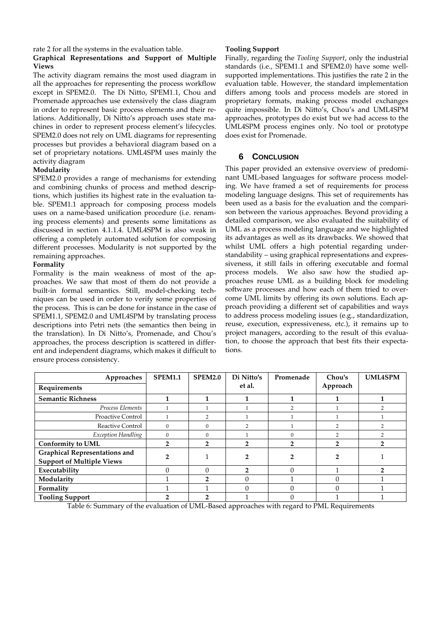#### rate 2 for all the systems in the evaluation table. **Graphical Representations and Support of Multiple Views**

The activity diagram remains the most used diagram in all the approaches for representing the process workflow except in SPEM2.0. The Di Nitto, SPEM1.1, Chou and Promenade approaches use extensively the class diagram in order to represent basic process elements and their relations. Additionally, Di Nitto's approach uses state machines in order to represent process element's lifecycles. SPEM2.0 does not rely on UML diagrams for representing processes but provides a behavioral diagram based on a set of proprietary notations. UML4SPM uses mainly the activity diagram

# **Modularity**

SPEM2.0 provides a range of mechanisms for extending and combining chunks of process and method descriptions, which justifies its highest rate in the evaluation table. SPEM1.1 approach for composing process models uses on a name-based unification procedure (i.e. renaming process elements) and presents some limitations as discussed in section 4.1.1.4. UML4SPM is also weak in offering a completely automated solution for composing different processes. Modularity is not supported by the remaining approaches.

# **Formality**

Formality is the main weakness of most of the approaches. We saw that most of them do not provide a built-in formal semantics. Still, model-checking techniques can be used in order to verify some properties of the process. This is can be done for instance in the case of SPEM1.1, SPEM2.0 and UML4SPM by translating process descriptions into Petri nets (the semantics then being in the translation). In Di Nitto's, Promenade, and Chou's approaches, the process description is scattered in different and independent diagrams, which makes it difficult to ensure process consistency.

# **Tooling Support**

Finally, regarding the *Tooling Support*, only the industrial standards (i.e., SPEM1.1 and SPEM2.0) have some wellsupported implementations. This justifies the rate 2 in the evaluation table. However, the standard implementation differs among tools and process models are stored in proprietary formats, making process model exchanges quite impossible. In Di Nitto's, Chou's and UML4SPM approaches, prototypes do exist but we had access to the UML4SPM process engines only. No tool or prototype does exist for Promenade.

# **6 CONCLUSION**

This paper provided an extensive overview of predominant UML-based languages for software process modeling. We have framed a set of requirements for process modeling language designs. This set of requirements has been used as a basis for the evaluation and the comparison between the various approaches. Beyond providing a detailed comparison, we also evaluated the suitability of UML as a process modeling language and we highlighted its advantages as well as its drawbacks. We showed that whilst UML offers a high potential regarding understandability – using graphical representations and expressiveness, it still fails in offering executable and formal process models. We also saw how the studied approaches reuse UML as a building block for modeling software processes and how each of them tried to overcome UML limits by offering its own solutions. Each approach providing a different set of capabilities and ways to address process modeling issues (e.g., standardization, reuse, execution, expressiveness, etc.), it remains up to project managers, according to the result of this evaluation, to choose the approach that best fits their expectations.

| Approaches                                                               | <b>SPEM1.1</b> | <b>SPEM2.0</b> | Di Nitto's     | Promenade | Chou's   | <b>UML4SPM</b> |
|--------------------------------------------------------------------------|----------------|----------------|----------------|-----------|----------|----------------|
| Requirements                                                             |                |                | et al.         |           | Approach |                |
| <b>Semantic Richness</b>                                                 | 1              | 1              | 1              |           |          |                |
| Process Elements                                                         |                |                |                |           |          |                |
| Proactive Control                                                        |                | $\overline{2}$ |                |           |          |                |
| Reactive Control                                                         | $\mathbf{0}$   | $\Omega$       | $\overline{2}$ |           |          |                |
| <b>Exception Handling</b>                                                | $\mathbf{0}$   | $\Omega$       |                | $\Omega$  | っ        |                |
| <b>Conformity to UML</b>                                                 | 2              | 2              | n              | 2         | 2        |                |
| <b>Graphical Representations and</b><br><b>Support of Multiple Views</b> | າ              |                | 2              |           | 2        |                |
| Executability                                                            | $\Omega$       | $\Omega$       | $\mathcal{P}$  | $\Omega$  |          | 2              |
| Modularity                                                               |                | $\mathbf{2}$   | $\Omega$       |           |          |                |
| Formality                                                                |                |                | $\Omega$       |           |          |                |
| <b>Tooling Support</b>                                                   |                |                |                |           |          |                |

Table 6: Summary of the evaluation of UML-Based approaches with regard to PML Requirements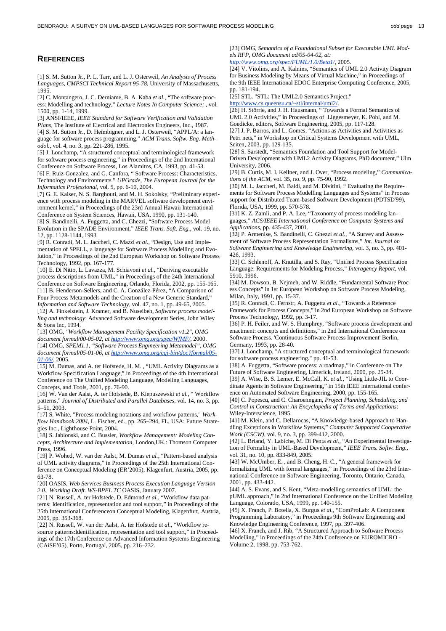#### **REFERENCES**

[1] S. M. Sutton Jr., P. L. Tarr, and L. J. Osterweil, *An Analysis of Process Languages, CMPSCI Technical Report 95-78*, University of Massachusetts, 1995.

[2] C. Montangero, J. C. Derniame, B. A. Kaba *et al.*, "The software process: Modelling and technology," *Lecture Notes In Computer Science; ,* vol. 1500, pp. 1-14, 1999.

[3] ANSI/IEEE, *IEEE Standard for Software Verification and Validation Plans*, The Institute of Electrical and Electronics Engineers, Inc., 1987. [4] S. M. Sutton Jr., D. Heimbigner, and L. J. Osterweil, "APPL/A: a language for software process programming," *ACM Trans. Softw. Eng. Methodol.,* vol. 4, no. 3, pp. 221-286, 1995.

[5] J. Lonchamp, "A structured conceptual and terminological framework for software process engineering," in Proceedings of the 2nd International Conference on Software Process, Los Alamitos, CA, 1993, pp. 41-53.

[6] F. Ruiz-Gonzalez, and G. Canfora, " Software Process: Characteristics, Technology and Environments " *UPGrade, The European Journal for the Informatics Professional,* vol. 5, pp. 6-10, 2004.

[7] G. E. Kaiser, N. S. Barghouti, and M. H. Sokolsky, "Preliminary experience with process modeling in the MARVEL software development environment kernel," in Proceedings of the 23rd Annual Hawaii International Conference on System Sciences, Hawaii, USA, 1990, pp. 131-140. [8] S. Bandinelli, A. Fuggetta, and C. Ghezzi, "Software Process Model Evolution in the SPADE Environment," *IEEE Trans. Soft. Eng.,* vol. 19, no. 12, pp. 1128-1144, 1993.

[9] R. Conradi, M. L. Jaccheri, C. Mazzi *et al.*, "Design, Use and Implementation of SPELL, a language for Software Process Modelling and Evolution," in Proceedings of the 2nd European Workshop on Software Process Technology, 1992, pp. 167-177.

[10] E. Di Nitto, L. Lavazza, M. Schiavoni *et al.*, "Deriving executable process descriptions from UML," in Proceedings of the 24th International Conference on Software Engineering, Orlando, Florida, 2002, pp. 155-165.

[11] B. Henderson-Sellers, and C. A. González-Pérez, "A Comparison of Four Process Metamodels and the Creation of a New Generic Standard," *Information and Software Technology,* vol. 47, no. 1, pp. 49-65, 2005. [12] A. Finkelstein, J. Kramer, and B. Nuseibeh, *Software process model-*

*ling and technology*: Advanced Software development Series, John Wiley & Sons Inc, 1994. [13] OMG, *"Workflow Management Facility Specification v1.2", OMG* 

*document formal/00-05-02, at http://www.omg.org/spec/WfMF/*, 2000. [14] OMG, *SPEM1.1, "Software Process Engineering Metamodel", OMG document formal/05-01-06, at http://www.omg.org/cgi-bin/doc?formal/05- 01-06/*, 2005.

[15] M. Dumas, and A. ter Hofstede, H. M. , "UML Activity Diagrams as a Workflow Specification Language," in Proceedings of the 4th International Conference on The Unified Modeling Language, Modeling Languages, Concepts, and Tools, 2001, pp. 76-90.

[16] W. Van der Aalst, A. ter Hofstede, B. Kiepuszewski *et al.*, " Workflow patterns," *Journal of Distributed and Parallel Databases,* vol. 14, no. 3, pp.  $5 - 51$ , 2003.

[17] S. White, "Process modeling notations and workflow patterns," *Workflow Handbook 2004*, L. Fischer, ed., pp. 265–294, FL, USA: Future Strategies Inc., Lighthouse Point, 2004.

[18] S. Jablonski, and C. Bussler, *Workflow Management: Modeling Concepts, Architecture and Implementation*, London,UK.: Thomson Computer Press, 1996.

[19] P. Wohed, W. van der Aalst, M. Dumas *et al.*, "Pattern-based analysis of UML activity diagrams," in Proceedings of the 25th International Conference on Conceptual Modeling (ER'2005), Klagenfurt, Austria, 2005, pp. 63-78.

[20] OASIS, *Web Services Business Process Execution Language Version 2.0. Working Draft. WS-BPEL TC* OASIS, January 2007.

[21] N. Russell, A. ter Hofstede, D. Edmond *et al.*, "Workflow data pat-

terns: Identification, representation and tool support," in Proceedings of the 25th International Conferenceon Conceptual Modeling, Klagenfurt, Austria, 2005, pp. 353-368.

[22] N. Russell, W. van der Aalst, A. ter Hofstede *et al.*, "Workflow resource patterns:Identification, representation and tool support," in Proceedings of the 17th Conference on Advanced Information Systems Engineering (CAiSE'05), Porto, Portugal, 2005, pp. 216–232.

[23] OMG, Semantics of a Foundational Subset for Executable UML Mod*els RFP, OMG document ad/05-04-02, at:* 

*http://www.omg.org/spec/FUML/1.0/Beta1/*, 2005.

[24] V. Vitolins, and A. Kalnins, "Semantics of UML 2.0 Activity Diagram for Business Modeling by Means of Virtual Machine," in Proceedings of the 9th IEEE International EDOC Enterprise Computing Conference, 2005, pp. 181-194.

[25] STL. "STL: The UML2,0 Semantics Project,"

http://www.cs.queensu.ca/~stl/internal/uml2/.

[26] H. Störrle, and J. H. Hausmann, " Towards a Formal Semantics of UML 2.0 Activities," in Proceedings of Liggesmeyer, K. Pohl, and M. Goedicke, editors, Software Engineering, 2005, pp. 117-128.

[27] J. P. Barros, and L. Gomes, "Actions as Activities and Activities as Petri nets," in Workshop on Critical Systems Development with UML, Seiten, 2003, pp. 129-135.

[28] S. Sarstedt, "Semantics Foundation and Tool Support for Model-Driven Development with UML2 Activity Diagrams, PhD document," Ulm University, 2006.

[29] B. Curtis, M. I. Kellner, and J. Over, "Process modeling," *Communications of the ACM,* vol. 35, no. 9, pp. 75-90, 1992.

[30] M. L. Jaccheri, M. Baldi, and M. Divitini, " Evaluating the Requirements for Software Process Modelling Languages and Systems" in Process support for Distributed Team-based Software Development (PDTSD'99), Florida, USA, 1999, pp. 570-578.

[31] K. Z. Zamli, and P. A. Lee, "Taxonomy of process modeling languages," *ACS/IEEE International Conference on Computer Systems and Applications*, pp. 435-437, 2001.

[32] P. Armenise, S. Bandinelli, C. Ghezzi *et al.*, "A Survey and Assessment of Software Process Representation Formalisms," *Int. Journal on Software Engineering and Knowledge Engineering,* vol. 3, no. 3, pp. 401- 426, 1993.

[33] C. Schlenoff, A. Knutilla, and S. Ray, "Unified Process Specification Language: Requirements for Modeling Process," *Interagency Report,* vol. 5910, 1996.

[34] M. Dowson, B. Nejmeh, and W. Riddle, "Fundamental Software Process Concepts" in 1st European Workshop on Software Process Modeling, Milan, Italy, 1991, pp. 15-37.

[35] R. Conradi, C. Fernstr, A. Fuggetta *et al.*, "Towards a Reference Framework for Process Concepts," in 2nd European Workshop on Software Process Technology, 1992, pp. 3-17.

[36] P. H. Feiler, and W. S. Humphrey, "Software process development and enactment: concepts and definitions," in 2nd International Conference on Software Process. 'Continuous Software Process Improvement' Berlin, Germany, 1993, pp. 28-40.

[37] J. Lonchamp, "A structured conceptual and terminological framework for software process engineering." pp. 41-53.

[38] A. Fuggetta, "Software process: a roadmap," in Conference on The Future of Software Engineering, Limerick, Ireland, 2000, pp. 25-34. [39] A. Wise, B. S. Lemer, E. McCall, K. *et al.*, "Using Little-JIL to Coor-

dinate Agents in Software Engineering," in 15th IEEE international conference on Automated Software Engineering, 2000, pp. 155-165. [40] C. Popescu, and C. Charoenngam, *Project Planning, Scheduling, and* 

*Control in Construction: An Encyclopedia of Terms and Applications*: Wiley-Interscience, 1995.

[41] M. Klein, and C. Dellarocas, "A Knowledge-based Approach to Handling Exceptions in Workflow Systems," *Computer Supported Cooperative Work (CSCW),* vol. 9, no. 3, pp. 399-412, 2000.

[42] L. Briand, Y. Labiche, M. Di Penta *et al.*, "An Experimental Investigation of Formality in UML-Based Development," *IEEE Trans. Softw. Eng.,* vol. 31, no. 10, pp. 833-849, 2005.

[43] W. McUmber, E. , and B. Cheng, H. C., "A general framework for formalizing UML with formal languages," in Proceedings of the 23rd International Conference on Software Engineering, Toronto, Ontario, Canada, 2001, pp. 433-442.

[44] A. S. Evans, and S. Kent, "Meta-modelling semantics of UML: the pUML approach," in 2nd International Conference on the Unified Modeling Language, Colorado, USA, 1999, pp. 140-155.

[45] X. Franch, P. Botella, X. Burgus *et al.*, "ComProLab: A Component Programming Laboratory," in Proceedings 9th Software Engineering and Knowledge Engineering Conference, 1997, pp. 397-406.

[46] X. Franch, and J. Rib, "A Structured Approach to Software Process Modelling," in Proceedings of the 24th Conference on EUROMICRO - Volume 2, 1998, pp. 753-762.